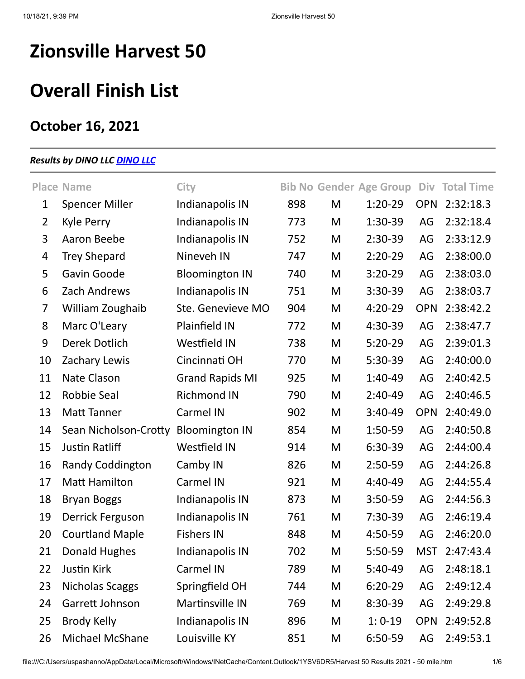# **Zionsville Harvest 50**

## **Overall Finish List**

## **October 16, 2021**

### *Results by DINO LLC [DINO LLC](http://www.dinoseries.com/)*

|                | <b>Place Name</b>       | City                   |     |   | <b>Bib No Gender Age Group</b> |            | Div Total Time |
|----------------|-------------------------|------------------------|-----|---|--------------------------------|------------|----------------|
| $\mathbf 1$    | <b>Spencer Miller</b>   | Indianapolis IN        | 898 | M | $1:20-29$                      | <b>OPN</b> | 2:32:18.3      |
| $\overline{2}$ | Kyle Perry              | Indianapolis IN        | 773 | M | 1:30-39                        | AG         | 2:32:18.4      |
| 3              | Aaron Beebe             | Indianapolis IN        | 752 | M | $2:30-39$                      | AG         | 2:33:12.9      |
| $\overline{4}$ | <b>Trey Shepard</b>     | Nineveh IN             | 747 | M | $2:20-29$                      | AG         | 2:38:00.0      |
| 5              | Gavin Goode             | <b>Bloomington IN</b>  | 740 | M | $3:20-29$                      | AG         | 2:38:03.0      |
| 6              | Zach Andrews            | Indianapolis IN        | 751 | M | $3:30-39$                      | AG         | 2:38:03.7      |
| $\overline{7}$ | William Zoughaib        | Ste. Genevieve MO      | 904 | M | $4:20-29$                      | <b>OPN</b> | 2:38:42.2      |
| 8              | Marc O'Leary            | <b>Plainfield IN</b>   | 772 | M | 4:30-39                        | AG         | 2:38:47.7      |
| 9              | <b>Derek Dotlich</b>    | <b>Westfield IN</b>    | 738 | M | $5:20-29$                      | AG         | 2:39:01.3      |
| 10             | Zachary Lewis           | Cincinnati OH          | 770 | M | $5:30-39$                      | AG         | 2:40:00.0      |
| 11             | Nate Clason             | <b>Grand Rapids MI</b> | 925 | M | $1:40-49$                      | AG         | 2:40:42.5      |
| 12             | <b>Robbie Seal</b>      | <b>Richmond IN</b>     | 790 | M | $2:40-49$                      | AG         | 2:40:46.5      |
| 13             | Matt Tanner             | <b>Carmel IN</b>       | 902 | M | $3:40-49$                      | <b>OPN</b> | 2:40:49.0      |
| 14             | Sean Nicholson-Crotty   | <b>Bloomington IN</b>  | 854 | M | 1:50-59                        | AG         | 2:40:50.8      |
| 15             | <b>Justin Ratliff</b>   | <b>Westfield IN</b>    | 914 | M | 6:30-39                        | AG         | 2:44:00.4      |
| 16             | <b>Randy Coddington</b> | Camby IN               | 826 | M | $2:50-59$                      | AG         | 2:44:26.8      |
| 17             | <b>Matt Hamilton</b>    | Carmel IN              | 921 | M | 4:40-49                        | AG         | 2:44:55.4      |
| 18             | <b>Bryan Boggs</b>      | Indianapolis IN        | 873 | M | $3:50-59$                      | AG         | 2:44:56.3      |
| 19             | Derrick Ferguson        | Indianapolis IN        | 761 | M | $7:30-39$                      | AG         | 2:46:19.4      |
| 20             | <b>Courtland Maple</b>  | <b>Fishers IN</b>      | 848 | M | 4:50-59                        | AG         | 2:46:20.0      |
| 21             | <b>Donald Hughes</b>    | Indianapolis IN        | 702 | M | 5:50-59                        | <b>MST</b> | 2:47:43.4      |
| 22             | Justin Kirk             | Carmel IN              | 789 | M | 5:40-49                        | AG         | 2:48:18.1      |
| 23             | <b>Nicholas Scaggs</b>  | Springfield OH         | 744 | M | $6:20-29$                      | AG         | 2:49:12.4      |
| 24             | Garrett Johnson         | Martinsville IN        | 769 | M | 8:30-39                        | AG         | 2:49:29.8      |
| 25             | Brody Kelly             | Indianapolis IN        | 896 | M | $1:0-19$                       | <b>OPN</b> | 2:49:52.8      |
| 26             | Michael McShane         | Louisville KY          | 851 | M | 6:50-59                        | AG         | 2:49:53.1      |

file:///C:/Users/uspashanno/AppData/Local/Microsoft/Windows/INetCache/Content.Outlook/1YSV6DR5/Harvest 50 Results 2021 - 50 mile.htm 1/6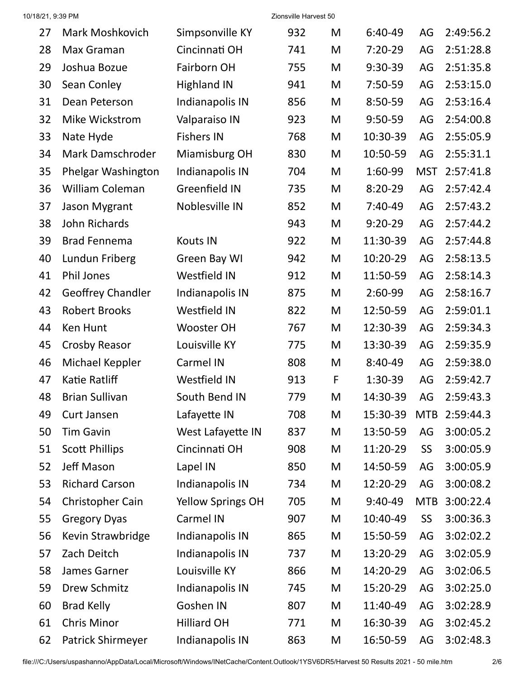| 27 | Mark Moshkovich          | Simpsonville KY          | 932 | M | 6:40-49   | AG         | 2:49:56.2 |
|----|--------------------------|--------------------------|-----|---|-----------|------------|-----------|
| 28 | Max Graman               | Cincinnati OH            | 741 | M | $7:20-29$ | AG         | 2:51:28.8 |
| 29 | Joshua Bozue             | Fairborn OH              | 755 | M | $9:30-39$ | AG         | 2:51:35.8 |
| 30 | Sean Conley              | <b>Highland IN</b>       | 941 | M | 7:50-59   | AG         | 2:53:15.0 |
| 31 | Dean Peterson            | Indianapolis IN          | 856 | M | 8:50-59   | AG         | 2:53:16.4 |
| 32 | Mike Wickstrom           | Valparaiso IN            | 923 | M | 9:50-59   | AG         | 2:54:00.8 |
| 33 | Nate Hyde                | <b>Fishers IN</b>        | 768 | M | 10:30-39  | AG         | 2:55:05.9 |
| 34 | Mark Damschroder         | Miamisburg OH            | 830 | M | 10:50-59  | AG         | 2:55:31.1 |
| 35 | Phelgar Washington       | Indianapolis IN          | 704 | M | 1:60-99   | <b>MST</b> | 2:57:41.8 |
| 36 | <b>William Coleman</b>   | Greenfield IN            | 735 | M | $8:20-29$ | AG         | 2:57:42.4 |
| 37 | Jason Mygrant            | Noblesville IN           | 852 | M | $7:40-49$ | AG         | 2:57:43.2 |
| 38 | John Richards            |                          | 943 | M | $9:20-29$ | AG         | 2:57:44.2 |
| 39 | <b>Brad Fennema</b>      | <b>Kouts IN</b>          | 922 | M | 11:30-39  | AG         | 2:57:44.8 |
| 40 | Lundun Friberg           | Green Bay WI             | 942 | M | 10:20-29  | AG         | 2:58:13.5 |
| 41 | <b>Phil Jones</b>        | <b>Westfield IN</b>      | 912 | M | 11:50-59  | AG         | 2:58:14.3 |
| 42 | <b>Geoffrey Chandler</b> | Indianapolis IN          | 875 | M | $2:60-99$ | AG         | 2:58:16.7 |
| 43 | <b>Robert Brooks</b>     | <b>Westfield IN</b>      | 822 | M | 12:50-59  | AG         | 2:59:01.1 |
| 44 | Ken Hunt                 | <b>Wooster OH</b>        | 767 | M | 12:30-39  | AG         | 2:59:34.3 |
| 45 | <b>Crosby Reasor</b>     | Louisville KY            | 775 | M | 13:30-39  | AG         | 2:59:35.9 |
| 46 | Michael Keppler          | Carmel IN                | 808 | M | 8:40-49   | AG         | 2:59:38.0 |
| 47 | Katie Ratliff            | <b>Westfield IN</b>      | 913 | F | 1:30-39   | AG         | 2:59:42.7 |
| 48 | <b>Brian Sullivan</b>    | South Bend IN            | 779 | M | 14:30-39  | AG         | 2:59:43.3 |
| 49 | Curt Jansen              | Lafayette IN             | 708 | M | 15:30-39  | <b>MTB</b> | 2:59:44.3 |
| 50 | <b>Tim Gavin</b>         | West Lafayette IN        | 837 | M | 13:50-59  | AG         | 3:00:05.2 |
| 51 | <b>Scott Phillips</b>    | Cincinnati OH            | 908 | M | 11:20-29  | <b>SS</b>  | 3:00:05.9 |
| 52 | Jeff Mason               | Lapel IN                 | 850 | M | 14:50-59  | AG         | 3:00:05.9 |
| 53 | <b>Richard Carson</b>    | Indianapolis IN          | 734 | M | 12:20-29  | AG         | 3:00:08.2 |
| 54 | Christopher Cain         | <b>Yellow Springs OH</b> | 705 | M | $9:40-49$ | <b>MTB</b> | 3:00:22.4 |
| 55 | <b>Gregory Dyas</b>      | Carmel IN                | 907 | M | 10:40-49  | <b>SS</b>  | 3:00:36.3 |
| 56 | Kevin Strawbridge        | Indianapolis IN          | 865 | M | 15:50-59  | AG         | 3:02:02.2 |
| 57 | Zach Deitch              | Indianapolis IN          | 737 | M | 13:20-29  | AG         | 3:02:05.9 |
| 58 | James Garner             | Louisville KY            | 866 | M | 14:20-29  | AG         | 3:02:06.5 |
| 59 | Drew Schmitz             | Indianapolis IN          | 745 | M | 15:20-29  | AG         | 3:02:25.0 |
| 60 | <b>Brad Kelly</b>        | Goshen IN                | 807 | M | 11:40-49  | AG         | 3:02:28.9 |
| 61 | <b>Chris Minor</b>       | <b>Hilliard OH</b>       | 771 | M | 16:30-39  | AG         | 3:02:45.2 |
| 62 | Patrick Shirmeyer        | Indianapolis IN          | 863 | M | 16:50-59  | AG         | 3:02:48.3 |

10/18/21, 9:39 PM Zionsville Harvest 50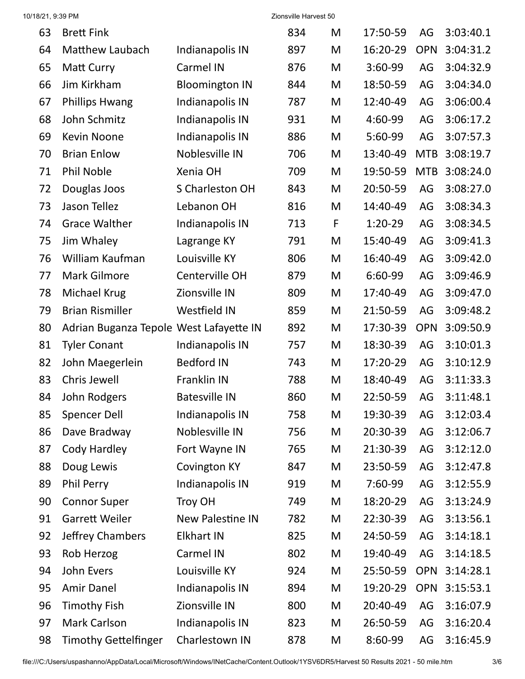#### 10/18/21, 9:39 PM Zionsville Harvest 50

| 63 | <b>Brett Fink</b>                       |                         | 834 | M | 17:50-59  | AG         | 3:03:40.1 |
|----|-----------------------------------------|-------------------------|-----|---|-----------|------------|-----------|
| 64 | <b>Matthew Laubach</b>                  | Indianapolis IN         | 897 | M | 16:20-29  | <b>OPN</b> | 3:04:31.2 |
| 65 | <b>Matt Curry</b>                       | Carmel IN               | 876 | M | 3:60-99   | AG         | 3:04:32.9 |
| 66 | Jim Kirkham                             | <b>Bloomington IN</b>   | 844 | M | 18:50-59  | AG         | 3:04:34.0 |
| 67 | <b>Phillips Hwang</b>                   | Indianapolis IN         | 787 | M | 12:40-49  | AG         | 3:06:00.4 |
| 68 | John Schmitz                            | Indianapolis IN         | 931 | M | 4:60-99   | AG         | 3:06:17.2 |
| 69 | <b>Kevin Noone</b>                      | Indianapolis IN         | 886 | M | 5:60-99   | AG         | 3:07:57.3 |
| 70 | <b>Brian Enlow</b>                      | Noblesville IN          | 706 | M | 13:40-49  | <b>MTB</b> | 3:08:19.7 |
| 71 | <b>Phil Noble</b>                       | Xenia OH                | 709 | M | 19:50-59  | <b>MTB</b> | 3:08:24.0 |
| 72 | Douglas Joos                            | S Charleston OH         | 843 | M | 20:50-59  | AG         | 3:08:27.0 |
| 73 | Jason Tellez                            | Lebanon OH              | 816 | M | 14:40-49  | AG         | 3:08:34.3 |
| 74 | <b>Grace Walther</b>                    | Indianapolis IN         | 713 | F | $1:20-29$ | AG         | 3:08:34.5 |
| 75 | Jim Whaley                              | Lagrange KY             | 791 | M | 15:40-49  | AG         | 3:09:41.3 |
| 76 | William Kaufman                         | Louisville KY           | 806 | M | 16:40-49  | AG         | 3:09:42.0 |
| 77 | <b>Mark Gilmore</b>                     | Centerville OH          | 879 | M | 6:60-99   | AG         | 3:09:46.9 |
| 78 | Michael Krug                            | Zionsville IN           | 809 | M | 17:40-49  | AG         | 3:09:47.0 |
| 79 | <b>Brian Rismiller</b>                  | <b>Westfield IN</b>     | 859 | M | 21:50-59  | AG         | 3:09:48.2 |
| 80 | Adrian Buganza Tepole West Lafayette IN |                         | 892 | M | 17:30-39  | <b>OPN</b> | 3:09:50.9 |
| 81 | <b>Tyler Conant</b>                     | Indianapolis IN         | 757 | M | 18:30-39  | AG         | 3:10:01.3 |
| 82 | John Maegerlein                         | <b>Bedford IN</b>       | 743 | M | 17:20-29  | AG         | 3:10:12.9 |
| 83 | Chris Jewell                            | Franklin IN             | 788 | M | 18:40-49  | AG         | 3:11:33.3 |
| 84 | John Rodgers                            | <b>Batesville IN</b>    | 860 | M | 22:50-59  | AG         | 3:11:48.1 |
| 85 | <b>Spencer Dell</b>                     | Indianapolis IN         | 758 | M | 19:30-39  | AG         | 3:12:03.4 |
| 86 | Dave Bradway                            | Noblesville IN          | 756 | M | 20:30-39  | AG         | 3:12:06.7 |
| 87 | Cody Hardley                            | Fort Wayne IN           | 765 | M | 21:30-39  | AG         | 3:12:12.0 |
| 88 | Doug Lewis                              | <b>Covington KY</b>     | 847 | M | 23:50-59  | AG         | 3:12:47.8 |
| 89 | Phil Perry                              | Indianapolis IN         | 919 | M | 7:60-99   | AG         | 3:12:55.9 |
| 90 | <b>Connor Super</b>                     | Troy OH                 | 749 | M | 18:20-29  | AG         | 3:13:24.9 |
| 91 | <b>Garrett Weiler</b>                   | <b>New Palestine IN</b> | 782 | M | 22:30-39  | AG         | 3:13:56.1 |
| 92 | Jeffrey Chambers                        | <b>Elkhart IN</b>       | 825 | M | 24:50-59  | AG         | 3:14:18.1 |
| 93 | Rob Herzog                              | Carmel IN               | 802 | M | 19:40-49  | AG         | 3:14:18.5 |
| 94 | John Evers                              | Louisville KY           | 924 | M | 25:50-59  | <b>OPN</b> | 3:14:28.1 |
| 95 | <b>Amir Danel</b>                       | Indianapolis IN         | 894 | M | 19:20-29  | <b>OPN</b> | 3:15:53.1 |
| 96 | <b>Timothy Fish</b>                     | Zionsville IN           | 800 | M | 20:40-49  | AG         | 3:16:07.9 |
| 97 | Mark Carlson                            | Indianapolis IN         | 823 | M | 26:50-59  | AG         | 3:16:20.4 |
| 98 | <b>Timothy Gettelfinger</b>             | Charlestown IN          | 878 | M | 8:60-99   | AG         | 3:16:45.9 |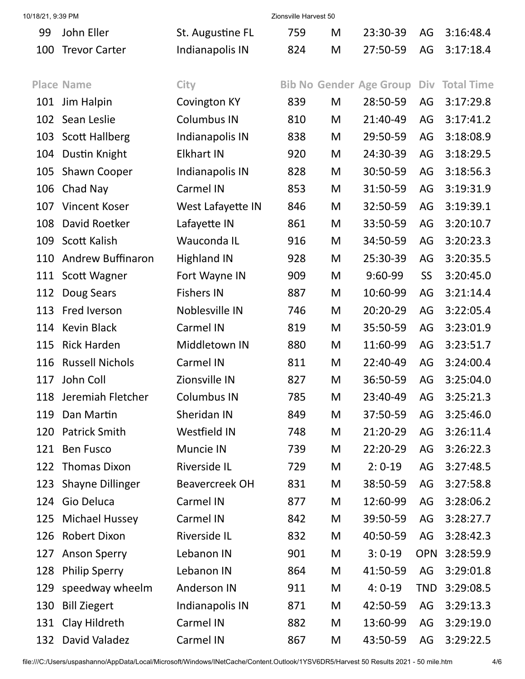| 10/18/21, 9:39 PM |                          |                       | Zionsville Harvest 50 |   |                                |            |                   |
|-------------------|--------------------------|-----------------------|-----------------------|---|--------------------------------|------------|-------------------|
| 99                | John Eller               | St. Augustine FL      | 759                   | M | 23:30-39                       | AG         | 3:16:48.4         |
| 100               | <b>Trevor Carter</b>     | Indianapolis IN       | 824                   | M | 27:50-59                       | AG         | 3:17:18.4         |
|                   |                          |                       |                       |   |                                |            |                   |
|                   | <b>Place Name</b>        | City                  |                       |   | <b>Bib No Gender Age Group</b> | Div        | <b>Total Time</b> |
| 101               | Jim Halpin               | <b>Covington KY</b>   | 839                   | M | 28:50-59                       | AG         | 3:17:29.8         |
| 102               | Sean Leslie              | <b>Columbus IN</b>    | 810                   | M | 21:40-49                       | AG         | 3:17:41.2         |
| 103               | <b>Scott Hallberg</b>    | Indianapolis IN       | 838                   | M | 29:50-59                       | AG         | 3:18:08.9         |
| 104               | Dustin Knight            | <b>Elkhart IN</b>     | 920                   | M | 24:30-39                       | AG         | 3:18:29.5         |
| 105               | <b>Shawn Cooper</b>      | Indianapolis IN       | 828                   | M | 30:50-59                       | AG         | 3:18:56.3         |
| 106               | Chad Nay                 | <b>Carmel IN</b>      | 853                   | M | 31:50-59                       | AG         | 3:19:31.9         |
| 107               | <b>Vincent Koser</b>     | West Lafayette IN     | 846                   | M | 32:50-59                       | AG         | 3:19:39.1         |
| 108               | David Roetker            | Lafayette IN          | 861                   | M | 33:50-59                       | AG         | 3:20:10.7         |
| 109               | Scott Kalish             | Wauconda IL           | 916                   | M | 34:50-59                       | AG         | 3:20:23.3         |
| 110               | <b>Andrew Buffinaron</b> | <b>Highland IN</b>    | 928                   | M | 25:30-39                       | AG         | 3:20:35.5         |
| 111               | Scott Wagner             | Fort Wayne IN         | 909                   | M | 9:60-99                        | SS         | 3:20:45.0         |
| 112               | Doug Sears               | <b>Fishers IN</b>     | 887                   | M | 10:60-99                       | AG         | 3:21:14.4         |
| 113               | Fred Iverson             | Noblesville IN        | 746                   | M | 20:20-29                       | AG         | 3:22:05.4         |
| 114               | <b>Kevin Black</b>       | Carmel IN             | 819                   | M | 35:50-59                       | AG         | 3:23:01.9         |
| 115               | <b>Rick Harden</b>       | Middletown IN         | 880                   | M | 11:60-99                       | AG         | 3:23:51.7         |
| 116               | <b>Russell Nichols</b>   | Carmel IN             | 811                   | M | 22:40-49                       | AG         | 3:24:00.4         |
| 117               | John Coll                | Zionsville IN         | 827                   | M | 36:50-59                       | AG         | 3:25:04.0         |
| 118               | Jeremiah Fletcher        | <b>Columbus IN</b>    | 785                   | M | 23:40-49                       | AG         | 3:25:21.3         |
| 119               | Dan Martin               | Sheridan IN           | 849                   | M | 37:50-59                       | AG         | 3:25:46.0         |
| 120               | <b>Patrick Smith</b>     | Westfield IN          | 748                   | M | 21:20-29                       | AG         | 3:26:11.4         |
| 121               | <b>Ben Fusco</b>         | Muncie IN             | 739                   | M | 22:20-29                       | AG         | 3:26:22.3         |
| 122               | <b>Thomas Dixon</b>      | <b>Riverside IL</b>   | 729                   | M | $2:0-19$                       | AG         | 3:27:48.5         |
| 123               | <b>Shayne Dillinger</b>  | <b>Beavercreek OH</b> | 831                   | M | 38:50-59                       | AG         | 3:27:58.8         |
| 124               | Gio Deluca               | Carmel IN             | 877                   | M | 12:60-99                       | AG         | 3:28:06.2         |
| 125               | <b>Michael Hussey</b>    | Carmel IN             | 842                   | M | 39:50-59                       | AG         | 3:28:27.7         |
| 126               | <b>Robert Dixon</b>      | <b>Riverside IL</b>   | 832                   | M | 40:50-59                       | AG         | 3:28:42.3         |
| 127               | <b>Anson Sperry</b>      | Lebanon IN            | 901                   | M | $3:0-19$                       | <b>OPN</b> | 3:28:59.9         |
| 128               | <b>Philip Sperry</b>     | Lebanon IN            | 864                   | M | 41:50-59                       | AG         | 3:29:01.8         |
| 129               | speedway wheelm          | <b>Anderson IN</b>    | 911                   | M | $4:0-19$                       | <b>TND</b> | 3:29:08.5         |
| 130               | <b>Bill Ziegert</b>      | Indianapolis IN       | 871                   | M | 42:50-59                       | AG         | 3:29:13.3         |
| 131               | Clay Hildreth            | Carmel IN             | 882                   | M | 13:60-99                       | AG         | 3:29:19.0         |
| 132               | David Valadez            | Carmel IN             | 867                   | M | 43:50-59                       | AG         | 3:29:22.5         |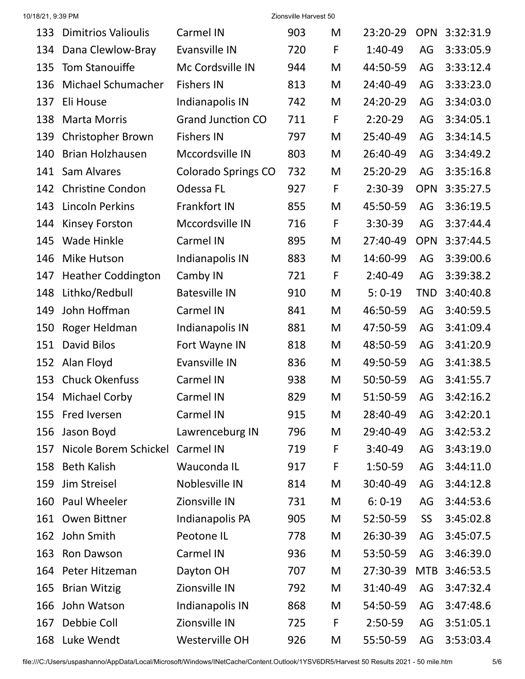| 10/18/21, 9:39 PM |                            |                            | Zionsville Harvest 50 |              |           |            |           |
|-------------------|----------------------------|----------------------------|-----------------------|--------------|-----------|------------|-----------|
| 133               | <b>Dimitrios Valioulis</b> | <b>Carmel IN</b>           | 903                   | M            | 23:20-29  | <b>OPN</b> | 3:32:31.9 |
| 134               | Dana Clewlow-Bray          | Evansville IN              | 720                   | F            | 1:40-49   | AG         | 3:33:05.9 |
| 135               | <b>Tom Stanouiffe</b>      | Mc Cordsville IN           | 944                   | M            | 44:50-59  | AG         | 3:33:12.4 |
| 136               | Michael Schumacher         | <b>Fishers IN</b>          | 813                   | M            | 24:40-49  | AG         | 3:33:23.0 |
| 137               | Eli House                  | Indianapolis IN            | 742                   | M            | 24:20-29  | AG         | 3:34:03.0 |
| 138               | <b>Marta Morris</b>        | <b>Grand Junction CO</b>   | 711                   | $\mathsf{F}$ | $2:20-29$ | AG         | 3:34:05.1 |
| 139               | <b>Christopher Brown</b>   | <b>Fishers IN</b>          | 797                   | M            | 25:40-49  | AG         | 3:34:14.5 |
| 140               | <b>Brian Holzhausen</b>    | Mccordsville IN            | 803                   | M            | 26:40-49  | AG         | 3:34:49.2 |
| 141               | Sam Alvares                | <b>Colorado Springs CO</b> | 732                   | M            | 25:20-29  | AG         | 3:35:16.8 |
| 142               | <b>Christine Condon</b>    | Odessa FL                  | 927                   | F            | $2:30-39$ | <b>OPN</b> | 3:35:27.5 |
| 143               | Lincoln Perkins            | Frankfort IN               | 855                   | M            | 45:50-59  | AG         | 3:36:19.5 |
| 144               | <b>Kinsey Forston</b>      | Mccordsville IN            | 716                   | $\mathsf{F}$ | $3:30-39$ | AG         | 3:37:44.4 |
| 145               | <b>Wade Hinkle</b>         | Carmel IN                  | 895                   | M            | 27:40-49  | <b>OPN</b> | 3:37:44.5 |
| 146               | Mike Hutson                | Indianapolis IN            | 883                   | M            | 14:60-99  | AG         | 3:39:00.6 |
| 147               | <b>Heather Coddington</b>  | Camby IN                   | 721                   | F            | $2:40-49$ | AG         | 3:39:38.2 |
| 148               | Lithko/Redbull             | <b>Batesville IN</b>       | 910                   | M            | $5:0-19$  | <b>TND</b> | 3:40:40.8 |
| 149               | John Hoffman               | <b>Carmel IN</b>           | 841                   | M            | 46:50-59  | AG         | 3:40:59.5 |
| 150               | Roger Heldman              | Indianapolis IN            | 881                   | M            | 47:50-59  | AG         | 3:41:09.4 |
| 151               | David Bilos                | Fort Wayne IN              | 818                   | M            | 48:50-59  | AG         | 3:41:20.9 |
| 152               | Alan Floyd                 | Evansville IN              | 836                   | M            | 49:50-59  | AG         | 3:41:38.5 |
| 153               | <b>Chuck Okenfuss</b>      | <b>Carmel IN</b>           | 938                   | M            | 50:50-59  | AG         | 3:41:55.7 |
|                   | 154 Michael Corby          | Carmel IN                  | 829                   | M            | 51:50-59  | AG         | 3:42:16.2 |
| 155               | Fred Iversen               | Carmel IN                  | 915                   | M            | 28:40-49  | AG         | 3:42:20.1 |
| 156               | Jason Boyd                 | Lawrenceburg IN            | 796                   | M            | 29:40-49  | AG         | 3:42:53.2 |
| 157               | Nicole Borem Schickel      | Carmel IN                  | 719                   | F            | $3:40-49$ | AG         | 3:43:19.0 |
| 158               | <b>Beth Kalish</b>         | Wauconda IL                | 917                   | F            | 1:50-59   | AG         | 3:44:11.0 |
| 159               | Jim Streisel               | Noblesville IN             | 814                   | M            | 30:40-49  | AG         | 3:44:12.8 |
| 160               | Paul Wheeler               | Zionsville IN              | 731                   | M            | $6:0-19$  | AG         | 3:44:53.6 |
| 161               | Owen Bittner               | Indianapolis PA            | 905                   | M            | 52:50-59  | <b>SS</b>  | 3:45:02.8 |
| 162               | John Smith                 | Peotone IL                 | 778                   | M            | 26:30-39  | AG         | 3:45:07.5 |
| 163               | Ron Dawson                 | Carmel IN                  | 936                   | M            | 53:50-59  | AG         | 3:46:39.0 |
| 164               | Peter Hitzeman             | Dayton OH                  | 707                   | M            | 27:30-39  | <b>MTB</b> | 3:46:53.5 |
| 165               | <b>Brian Witzig</b>        | Zionsville IN              | 792                   | M            | 31:40-49  | AG         | 3:47:32.4 |
| 166               | John Watson                | Indianapolis IN            | 868                   | M            | 54:50-59  | AG         | 3:47:48.6 |
| 167               | Debbie Coll                | Zionsville IN              | 725                   | F            | 2:50-59   | AG         | 3:51:05.1 |
|                   | 168 Luke Wendt             | Westerville OH             | 926                   | M            | 55:50-59  | AG         | 3:53:03.4 |